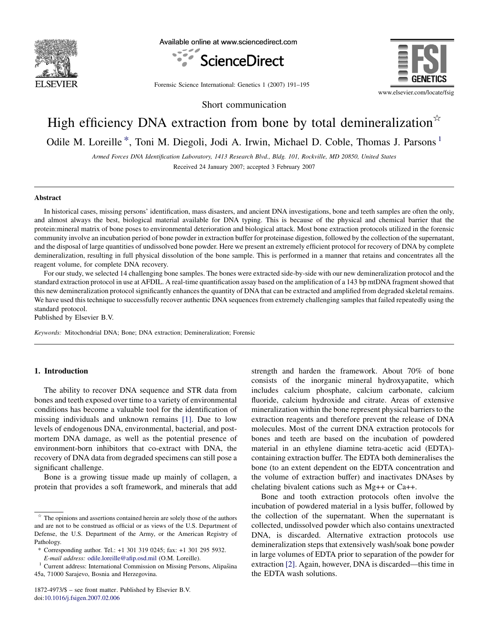

Available online at www.sciencedirect.com





Forensic Science International: Genetics 1 (2007) 191–195

Short communication

# High efficiency DNA extraction from bone by total demineralization $\mathbb{R}$

Odile M. Loreille<sup>\*</sup>, Toni M. Diegoli, Jodi A. Irwin, Michael D. Coble, Thomas J. Parsons<sup>1</sup>

Armed Forces DNA Identification Laboratory, 1413 Research Blvd., Bldg. 101, Rockville, MD 20850, United States Received 24 January 2007; accepted 3 February 2007

#### **Abstract**

In historical cases, missing persons' identification, mass disasters, and ancient DNA investigations, bone and teeth samples are often the only, and almost always the best, biological material available for DNA typing. This is because of the physical and chemical barrier that the protein:mineral matrix of bone poses to environmental deterioration and biological attack. Most bone extraction protocols utilized in the forensic community involve an incubation period of bone powder in extraction buffer for proteinase digestion, followed by the collection of the supernatant, and the disposal of large quantities of undissolved bone powder. Here we present an extremely efficient protocol for recovery of DNA by complete demineralization, resulting in full physical dissolution of the bone sample. This is performed in a manner that retains and concentrates all the reagent volume, for complete DNA recovery.

For our study, we selected 14 challenging bone samples. The bones were extracted side-by-side with our new demineralization protocol and the standard extraction protocol in use at AFDIL. A real-time quantification assay based on the amplification of a 143 bp mtDNA fragment showed that this new demineralization protocol significantly enhances the quantity of DNA that can be extracted and amplified from degraded skeletal remains. We have used this technique to successfully recover authentic DNA sequences from extremely challenging samples that failed repeatedly using the standard protocol.

Published by Elsevier B.V.

Keywords: Mitochondrial DNA; Bone; DNA extraction; Demineralization; Forensic

#### 1. Introduction

The ability to recover DNA sequence and STR data from bones and teeth exposed over time to a variety of environmental conditions has become a valuable tool for the identification of missing individuals and unknown remains [\[1\]](#page-4-0). Due to low levels of endogenous DNA, environmental, bacterial, and postmortem DNA damage, as well as the potential presence of environment-born inhibitors that co-extract with DNA, the recovery of DNA data from degraded specimens can still pose a significant challenge.

Bone is a growing tissue made up mainly of collagen, a protein that provides a soft framework, and minerals that add strength and harden the framework. About 70% of bone consists of the inorganic mineral hydroxyapatite, which includes calcium phosphate, calcium carbonate, calcium fluoride, calcium hydroxide and citrate. Areas of extensive mineralization within the bone represent physical barriers to the extraction reagents and therefore prevent the release of DNA molecules. Most of the current DNA extraction protocols for bones and teeth are based on the incubation of powdered material in an ethylene diamine tetra-acetic acid (EDTA) containing extraction buffer. The EDTA both demineralises the bone (to an extent dependent on the EDTA concentration and the volume of extraction buffer) and inactivates DNAses by chelating bivalent cations such as Mg++ or Ca++.

Bone and tooth extraction protocols often involve the incubation of powdered material in a lysis buffer, followed by the collection of the supernatant. When the supernatant is collected, undissolved powder which also contains unextracted DNA, is discarded. Alternative extraction protocols use demineralization steps that extensively wash/soak bone powder in large volumes of EDTA prior to separation of the powder for extraction [\[2\]](#page-4-0). Again, however, DNA is discarded—this time in the EDTA wash solutions.

 $\star$  The opinions and assertions contained herein are solely those of the authors and are not to be construed as official or as views of the U.S. Department of Defense, the U.S. Department of the Army, or the American Registry of Pathology.

<sup>\*</sup> Corresponding author. Tel.: +1 301 319 0245; fax: +1 301 295 5932.

 $1$  Current address: International Commission on Missing Persons, Alipašina 45a, 71000 Sarajevo, Bosnia and Herzegovina.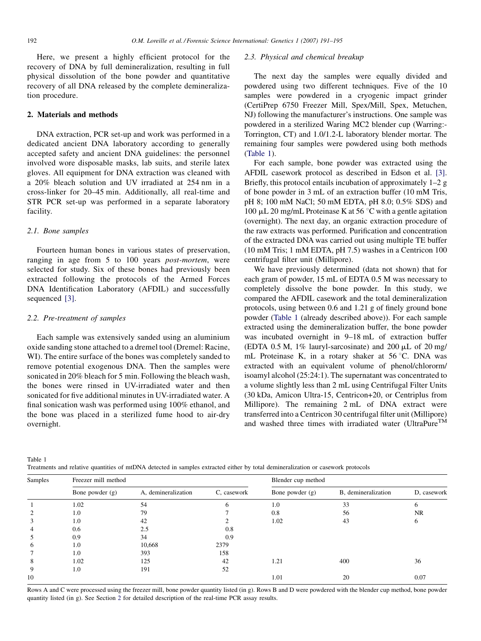<span id="page-1-0"></span>Here, we present a highly efficient protocol for the recovery of DNA by full demineralization, resulting in full physical dissolution of the bone powder and quantitative recovery of all DNA released by the complete demineralization procedure.

## 2. Materials and methods

DNA extraction, PCR set-up and work was performed in a dedicated ancient DNA laboratory according to generally accepted safety and ancient DNA guidelines: the personnel involved wore disposable masks, lab suits, and sterile latex gloves. All equipment for DNA extraction was cleaned with a 20% bleach solution and UV irradiated at 254 nm in a cross-linker for 20–45 min. Additionally, all real-time and STR PCR set-up was performed in a separate laboratory facility.

## 2.1. Bone samples

Fourteen human bones in various states of preservation, ranging in age from 5 to 100 years post-mortem, were selected for study. Six of these bones had previously been extracted following the protocols of the Armed Forces DNA Identification Laboratory (AFDIL) and successfully sequenced [\[3\]](#page-4-0).

## 2.2. Pre-treatment of samples

Each sample was extensively sanded using an aluminium oxide sanding stone attached to a dremel tool (Dremel: Racine, WI). The entire surface of the bones was completely sanded to remove potential exogenous DNA. Then the samples were sonicated in 20% bleach for 5 min. Following the bleach wash, the bones were rinsed in UV-irradiated water and then sonicated for five additional minutes in UV-irradiated water. A final sonication wash was performed using 100% ethanol, and the bone was placed in a sterilized fume hood to air-dry overnight.

#### 2.3. Physical and chemical breakup

The next day the samples were equally divided and powdered using two different techniques. Five of the 10 samples were powdered in a cryogenic impact grinder (CertiPrep 6750 Freezer Mill, Spex/Mill, Spex, Metuchen, NJ) following the manufacturer's instructions. One sample was powdered in a sterilized Waring MC2 blender cup (Warring:- Torrington, CT) and 1.0/1.2-L laboratory blender mortar. The remaining four samples were powdered using both methods (Table 1).

For each sample, bone powder was extracted using the AFDIL casework protocol as described in Edson et al. [\[3\]](#page-4-0). Briefly, this protocol entails incubation of approximately 1–2 g of bone powder in 3 mL of an extraction buffer (10 mM Tris, pH 8; 100 mM NaCl; 50 mM EDTA, pH 8.0; 0.5% SDS) and 100  $\mu$ L 20 mg/mL Proteinase K at 56 °C with a gentle agitation (overnight). The next day, an organic extraction procedure of the raw extracts was performed. Purification and concentration of the extracted DNA was carried out using multiple TE buffer (10 mM Tris; 1 mM EDTA, pH 7.5) washes in a Centricon 100 centrifugal filter unit (Millipore).

We have previously determined (data not shown) that for each gram of powder, 15 mL of EDTA 0.5 M was necessary to completely dissolve the bone powder. In this study, we compared the AFDIL casework and the total demineralization protocols, using between 0.6 and 1.21 g of finely ground bone powder (Table 1 (already described above)). For each sample extracted using the demineralization buffer, the bone powder was incubated overnight in 9–18 mL of extraction buffer (EDTA 0.5 M,  $1\%$  lauryl-sarcosinate) and 200  $\mu$ L of 20 mg/ mL Proteinase K, in a rotary shaker at  $56^{\circ}$ C. DNA was extracted with an equivalent volume of phenol/chlororm/ isoamyl alcohol (25:24:1). The supernatant was concentrated to a volume slightly less than 2 mL using Centrifugal Filter Units (30 kDa, Amicon Ultra-15, Centricon+20, or Centriplus from Millipore). The remaining 2 mL of DNA extract were transferred into a Centricon 30 centrifugal filter unit (Millipore) and washed three times with irradiated water (UltraPure<sup>TM</sup>

Table 1

Treatments and relative quantities of mtDNA detected in samples extracted either by total demineralization or casework protocols

| Samples | Freezer mill method |                     |             | Blender cup method |                     |             |  |
|---------|---------------------|---------------------|-------------|--------------------|---------------------|-------------|--|
|         | Bone powder $(g)$   | A, demineralization | C, casework | Bone powder $(g)$  | B, demineralization | D, casework |  |
|         | 1.02                | 54                  | 6           | 1.0                | 33                  | 6.          |  |
|         | 1.0                 | 79                  |             | 0.8                | 56                  | <b>NR</b>   |  |
|         | 1.0                 | 42                  |             | 1.02               | 43                  | 6           |  |
|         | 0.6                 | 2.5                 | 0.8         |                    |                     |             |  |
|         | 0.9                 | 34                  | 0.9         |                    |                     |             |  |
| 6       | 1.0                 | 10,668              | 2379        |                    |                     |             |  |
|         | 1.0                 | 393                 | 158         |                    |                     |             |  |
| 8       | 1.02                | 125                 | 42          | 1.21               | 400                 | 36          |  |
| 9       | 1.0                 | 191                 | 52          |                    |                     |             |  |
| 10      |                     |                     |             | 1.01               | 20                  | 0.07        |  |

Rows A and C were processed using the freezer mill, bone powder quantity listed (in g). Rows B and D were powdered with the blender cup method, bone powder quantity listed (in g). See Section 2 for detailed description of the real-time PCR assay results.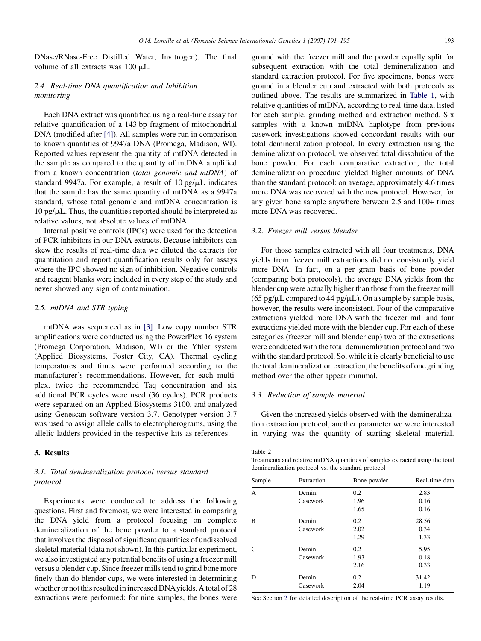<span id="page-2-0"></span>DNase/RNase-Free Distilled Water, Invitrogen). The final volume of all extracts was 100 mL.

# 2.4. Real-time DNA quantification and Inhibition monitoring

Each DNA extract was quantified using a real-time assay for relative quantification of a 143 bp fragment of mitochondrial DNA (modified after [\[4\]](#page-4-0)). All samples were run in comparison to known quantities of 9947a DNA (Promega, Madison, WI). Reported values represent the quantity of mtDNA detected in the sample as compared to the quantity of mtDNA amplified from a known concentration (total genomic and mtDNA) of standard 9947a. For example, a result of  $10 \text{ pg/µL}$  indicates that the sample has the same quantity of mtDNA as a 9947a standard, whose total genomic and mtDNA concentration is  $10 \text{ pg/}\mu\text{L}$ . Thus, the quantities reported should be interpreted as relative values, not absolute values of mtDNA.

Internal positive controls (IPCs) were used for the detection of PCR inhibitors in our DNA extracts. Because inhibitors can skew the results of real-time data we diluted the extracts for quantitation and report quantification results only for assays where the IPC showed no sign of inhibition. Negative controls and reagent blanks were included in every step of the study and never showed any sign of contamination.

## 2.5. mtDNA and STR typing

mtDNA was sequenced as in [\[3\]](#page-4-0). Low copy number STR amplifications were conducted using the PowerPlex 16 system (Promega Corporation, Madison, WI) or the Yfiler system (Applied Biosystems, Foster City, CA). Thermal cycling temperatures and times were performed according to the manufacturer's recommendations. However, for each multiplex, twice the recommended Taq concentration and six additional PCR cycles were used (36 cycles). PCR products were separated on an Applied Biosystems 3100, and analyzed using Genescan software version 3.7. Genotyper version 3.7 was used to assign allele calls to electropherograms, using the allelic ladders provided in the respective kits as references.

#### 3. Results

# 3.1. Total demineralization protocol versus standard protocol

Experiments were conducted to address the following questions. First and foremost, we were interested in comparing the DNA yield from a protocol focusing on complete demineralization of the bone powder to a standard protocol that involves the disposal of significant quantities of undissolved skeletal material (data not shown). In this particular experiment, we also investigated any potential benefits of using a freezer mill versus a blender cup. Since freezer mills tend to grind bone more finely than do blender cups, we were interested in determining whether or not this resulted in increased DNAyields. A total of 28 extractions were performed: for nine samples, the bones were ground with the freezer mill and the powder equally split for subsequent extraction with the total demineralization and standard extraction protocol. For five specimens, bones were ground in a blender cup and extracted with both protocols as outlined above. The results are summarized in [Table 1](#page-1-0), with relative quantities of mtDNA, according to real-time data, listed for each sample, grinding method and extraction method. Six samples with a known mtDNA haplotype from previous casework investigations showed concordant results with our total demineralization protocol. In every extraction using the demineralization protocol, we observed total dissolution of the bone powder. For each comparative extraction, the total demineralization procedure yielded higher amounts of DNA than the standard protocol: on average, approximately 4.6 times more DNA was recovered with the new protocol. However, for any given bone sample anywhere between 2.5 and 100+ times more DNA was recovered.

## 3.2. Freezer mill versus blender

For those samples extracted with all four treatments, DNA yields from freezer mill extractions did not consistently yield more DNA. In fact, on a per gram basis of bone powder (comparing both protocols), the average DNA yields from the blender cup were actually higher than those from the freezer mill (65 pg/ $\mu$ L compared to 44 pg/ $\mu$ L). On a sample by sample basis, however, the results were inconsistent. Four of the comparative extractions yielded more DNA with the freezer mill and four extractions yielded more with the blender cup. For each of these categories (freezer mill and blender cup) two of the extractions were conducted with the total demineralization protocol and two with the standard protocol. So, while it is clearly beneficial to use the total demineralization extraction, the benefits of one grinding method over the other appear minimal.

## 3.3. Reduction of sample material

Given the increased yields observed with the demineralization extraction protocol, another parameter we were interested in varying was the quantity of starting skeletal material.

#### Table 2

Treatments and relative mtDNA quantities of samples extracted using the total demineralization protocol vs. the standard protocol

| Sample        | Extraction | Bone powder | Real-time data |
|---------------|------------|-------------|----------------|
| A             | Demin.     | 0.2         | 2.83           |
|               | Casework   | 1.96        | 0.16           |
|               |            | 1.65        | 0.16           |
| B             | Demin.     | 0.2         | 28.56          |
|               | Casework   | 2.02        | 0.34           |
|               |            | 1.29        | 1.33           |
| $\mathcal{C}$ | Demin.     | 0.2         | 5.95           |
|               | Casework   | 1.93        | 0.18           |
|               |            | 2.16        | 0.33           |
| D             | Demin.     | 0.2         | 31.42          |
|               | Casework   | 2.04        | 1.19           |

See Section [2](#page-1-0) for detailed description of the real-time PCR assay results.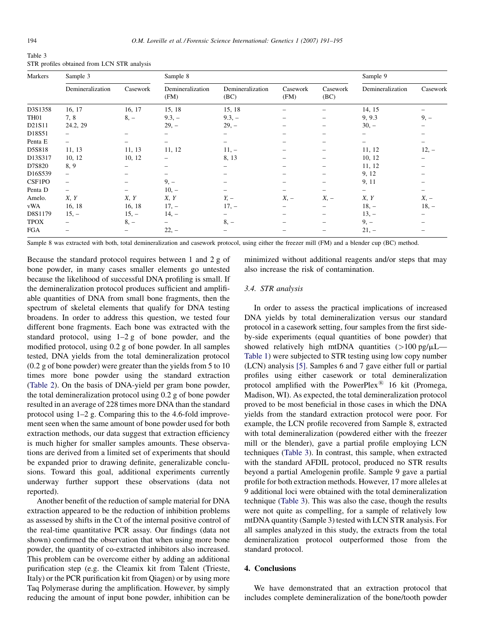| Table 3                                     |  |
|---------------------------------------------|--|
| STR profiles obtained from LCN STR analysis |  |

| Markers          | Sample 3                 |                          | Sample 8                 |                          |                  |                          | Sample 9                 |                   |
|------------------|--------------------------|--------------------------|--------------------------|--------------------------|------------------|--------------------------|--------------------------|-------------------|
|                  | Demineralization         | Casework                 | Demineralization<br>(FM) | Demineralization<br>(BC) | Casework<br>(FM) | Casework<br>(BC)         | Demineralization         | Casework          |
| D3S1358          | 16, 17                   | 16, 17                   | 15, 18                   | 15, 18                   |                  |                          | 14, 15                   |                   |
| TH <sub>01</sub> | 7, 8                     | $8, -$                   | $9.3, -$                 | $9.3, -$                 |                  | $\overline{\phantom{0}}$ | 9, 9.3                   | $9, -$            |
| D21S11           | 24.2, 29                 |                          | $29, -$                  | $29, -$                  |                  |                          | $30, -$                  |                   |
| D18S51           | $\overline{\phantom{0}}$ |                          |                          | $\overline{\phantom{0}}$ |                  |                          |                          |                   |
| Penta E          | $\overline{\phantom{0}}$ | $\overline{\phantom{0}}$ |                          | $\overline{\phantom{0}}$ |                  | -                        | -                        | $\qquad \qquad -$ |
| D5S818           | 11, 13                   | 11, 13                   | 11, 12                   | $11, -$                  |                  | -                        | 11, 12                   | $12, -$           |
| D13S317          | 10, 12                   | 10, 12                   | -                        | 8, 13                    |                  |                          | 10, 12                   |                   |
| D7S820           | 8, 9                     |                          |                          | $\qquad \qquad -$        |                  | $\overline{\phantom{0}}$ | 11, 12                   |                   |
| D16S539          | $\qquad \qquad -$        |                          |                          |                          |                  |                          | 9, 12                    |                   |
| CSF1PO           | $\overline{\phantom{0}}$ |                          | $9, -$                   | $\overline{\phantom{0}}$ |                  | $\overline{\phantom{0}}$ | 9, 11                    |                   |
| Penta D          | $\overline{\phantom{0}}$ |                          | $10, -$                  |                          |                  | $\overline{\phantom{0}}$ | $\overline{\phantom{0}}$ |                   |
| Amelo.           | X, Y                     | X, Y                     | X, Y                     | $Y_{2}$ -                | $X_{1}$ –        | $X, -$                   | X, Y                     | $X, -$            |
| vWA              | 16, 18                   | 16, 18                   | $17, -$                  | $17, -$                  |                  | -                        | $18, -$                  | $18, -$           |
| D8S1179          | $15, -$                  | $15, -$                  | $14, -$                  |                          |                  |                          | $13, -$                  |                   |
| <b>TPOX</b>      | $\overline{\phantom{0}}$ | $8. -$                   |                          | $8, -$                   |                  | $\overline{\phantom{0}}$ | $9, -$                   |                   |
| <b>FGA</b>       |                          | $-$                      | $22, -$                  |                          |                  |                          | $21, -$                  |                   |

Sample 8 was extracted with both, total demineralization and casework protocol, using either the freezer mill (FM) and a blender cup (BC) method.

Because the standard protocol requires between 1 and 2 g of bone powder, in many cases smaller elements go untested because the likelihood of successful DNA profiling is small. If the demineralization protocol produces sufficient and amplifiable quantities of DNA from small bone fragments, then the spectrum of skeletal elements that qualify for DNA testing broadens. In order to address this question, we tested four different bone fragments. Each bone was extracted with the standard protocol, using 1–2 g of bone powder, and the modified protocol, using 0.2 g of bone powder. In all samples tested, DNA yields from the total demineralization protocol (0.2 g of bone powder) were greater than the yields from 5 to 10 times more bone powder using the standard extraction ([Table 2](#page-2-0)). On the basis of DNA-yield per gram bone powder, the total demineralization protocol using 0.2 g of bone powder resulted in an average of 228 times more DNA than the standard protocol using 1–2 g. Comparing this to the 4.6-fold improvement seen when the same amount of bone powder used for both extraction methods, our data suggest that extraction efficiency is much higher for smaller samples amounts. These observations are derived from a limited set of experiments that should be expanded prior to drawing definite, generalizable conclusions. Toward this goal, additional experiments currently underway further support these observations (data not reported).

Another benefit of the reduction of sample material for DNA extraction appeared to be the reduction of inhibition problems as assessed by shifts in the Ct of the internal positive control of the real-time quantitative PCR assay. Our findings (data not shown) confirmed the observation that when using more bone powder, the quantity of co-extracted inhibitors also increased. This problem can be overcome either by adding an additional purification step (e.g. the Cleamix kit from Talent (Trieste, Italy) or the PCR purification kit from Qiagen) or by using more Taq Polymerase during the amplification. However, by simply reducing the amount of input bone powder, inhibition can be minimized without additional reagents and/or steps that may also increase the risk of contamination.

## 3.4. STR analysis

In order to assess the practical implications of increased DNA yields by total demineralization versus our standard protocol in a casework setting, four samples from the first sideby-side experiments (equal quantities of bone powder) that showed relatively high mtDNA quantities  $(>100 \text{ pg/µL})$ [Table 1](#page-1-0)) were subjected to STR testing using low copy number (LCN) analysis [\[5\].](#page-4-0) Samples 6 and 7 gave either full or partial profiles using either casework or total demineralization protocol amplified with the PowerPlex<sup>®</sup> 16 kit (Promega, Madison, WI). As expected, the total demineralization protocol proved to be most beneficial in those cases in which the DNA yields from the standard extraction protocol were poor. For example, the LCN profile recovered from Sample 8, extracted with total demineralization (powdered either with the freezer mill or the blender), gave a partial profile employing LCN techniques (Table 3). In contrast, this sample, when extracted with the standard AFDIL protocol, produced no STR results beyond a partial Amelogenin profile. Sample 9 gave a partial profile for both extraction methods. However, 17 more alleles at 9 additional loci were obtained with the total demineralization technique (Table 3). This was also the case, though the results were not quite as compelling, for a sample of relatively low mtDNA quantity (Sample 3) tested with LCN STR analysis. For all samples analyzed in this study, the extracts from the total demineralization protocol outperformed those from the standard protocol.

## 4. Conclusions

We have demonstrated that an extraction protocol that includes complete demineralization of the bone/tooth powder